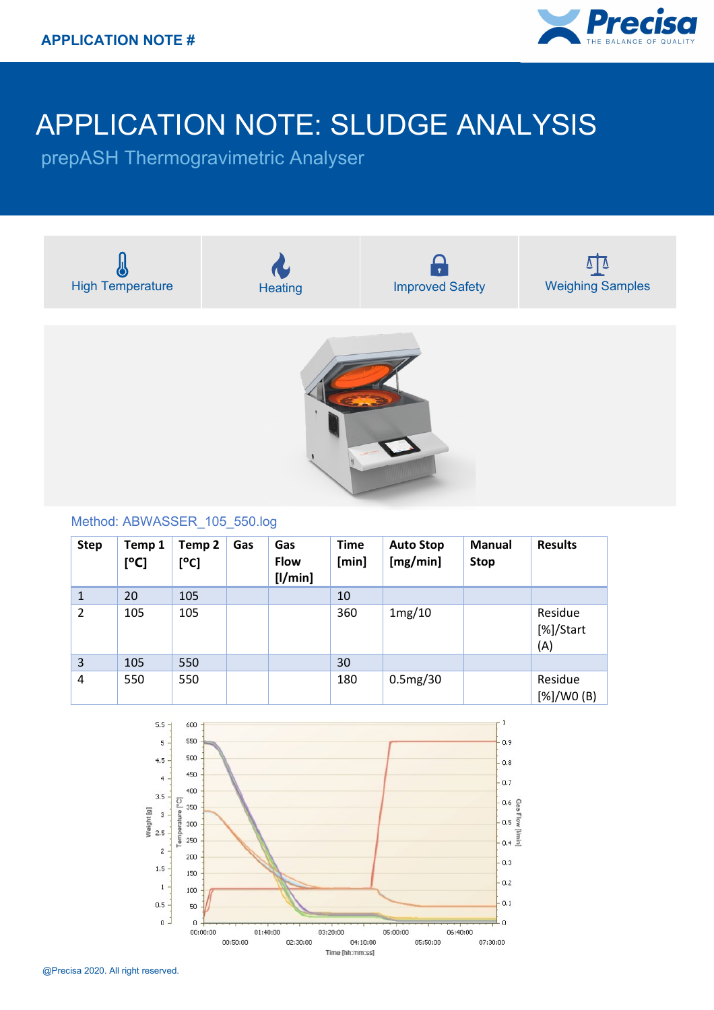

## APPLICATION NOTE: SLUDGE ANALYSIS

prepASH Thermogravimetric Analyser



|   |     |     | [1/min] |     |          |                             |
|---|-----|-----|---------|-----|----------|-----------------------------|
| 1 | 20  | 105 |         | 10  |          |                             |
| 2 | 105 | 105 |         | 360 | 1mg/10   | Residue<br>[%]/Start<br>(A) |
| 3 | 105 | 550 |         | 30  |          |                             |
| 4 | 550 | 550 |         | 180 | 0.5mg/30 | Residue<br>[%]/WO(B)        |



@Precisa 2020. All right reserved.